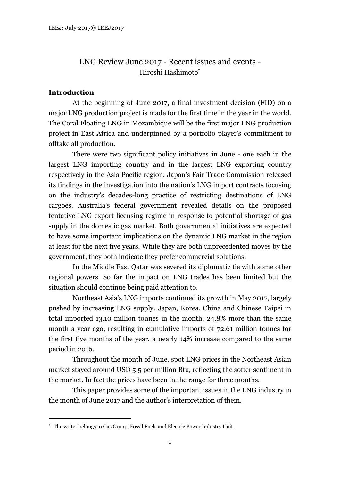# LNG Review June 2017 - Recent issues and events - Hiroshi Hashimoto

# **Introduction**

At the beginning of June 2017, a final investment decision (FID) on a major LNG production project is made for the first time in the year in the world. The Coral Floating LNG in Mozambique will be the first major LNG production project in East Africa and underpinned by a portfolio player's commitment to offtake all production.

There were two significant policy initiatives in June - one each in the largest LNG importing country and in the largest LNG exporting country respectively in the Asia Pacific region. Japan's Fair Trade Commission released its findings in the investigation into the nation's LNG import contracts focusing on the industry's decades-long practice of restricting destinations of LNG cargoes. Australia's federal government revealed details on the proposed tentative LNG export licensing regime in response to potential shortage of gas supply in the domestic gas market. Both governmental initiatives are expected to have some important implications on the dynamic LNG market in the region at least for the next five years. While they are both unprecedented moves by the government, they both indicate they prefer commercial solutions.

In the Middle East Qatar was severed its diplomatic tie with some other regional powers. So far the impact on LNG trades has been limited but the situation should continue being paid attention to.

Northeast Asia's LNG imports continued its growth in May 2017, largely pushed by increasing LNG supply. Japan, Korea, China and Chinese Taipei in total imported 13.10 million tonnes in the month, 24.8% more than the same month a year ago, resulting in cumulative imports of 72.61 million tonnes for the first five months of the year, a nearly 14% increase compared to the same period in 2016.

Throughout the month of June, spot LNG prices in the Northeast Asian market stayed around USD 5.5 per million Btu, reflecting the softer sentiment in the market. In fact the prices have been in the range for three months.

This paper provides some of the important issues in the LNG industry in the month of June 2017 and the author's interpretation of them.

 The writer belongs to Gas Group, Fossil Fuels and Electric Power Industry Unit.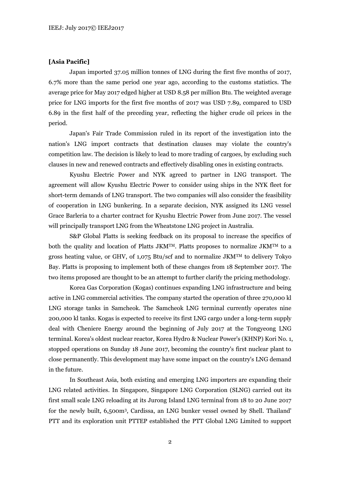## **[Asia Pacific]**

Japan imported 37.05 million tonnes of LNG during the first five months of 2017, 6.7% more than the same period one year ago, according to the customs statistics. The average price for May 2017 edged higher at USD 8.58 per million Btu. The weighted average price for LNG imports for the first five months of 2017 was USD 7.89, compared to USD 6.89 in the first half of the preceding year, reflecting the higher crude oil prices in the period.

Japan's Fair Trade Commission ruled in its report of the investigation into the nation's LNG import contracts that destination clauses may violate the country's competition law. The decision is likely to lead to more trading of cargoes, by excluding such clauses in new and renewed contracts and effectively disabling ones in existing contracts.

Kyushu Electric Power and NYK agreed to partner in LNG transport. The agreement will allow Kyushu Electric Power to consider using ships in the NYK fleet for short-term demands of LNG transport. The two companies will also consider the feasibility of cooperation in LNG bunkering. In a separate decision, NYK assigned its LNG vessel Grace Barleria to a charter contract for Kyushu Electric Power from June 2017. The vessel will principally transport LNG from the Wheatstone LNG project in Australia.

S&P Global Platts is seeking feedback on its proposal to increase the specifics of both the quality and location of Platts JKMTM. Platts proposes to normalize JKMTM to a gross heating value, or GHV, of 1,075 Btu/scf and to normalize JKMTM to delivery Tokyo Bay. Platts is proposing to implement both of these changes from 18 September 2017. The two items proposed are thought to be an attempt to further clarify the pricing methodology.

Korea Gas Corporation (Kogas) continues expanding LNG infrastructure and being active in LNG commercial activities. The company started the operation of three 270,000 kl LNG storage tanks in Samcheok. The Samcheok LNG terminal currently operates nine 200,000 kl tanks. Kogas is expected to receive its first LNG cargo under a long-term supply deal with Cheniere Energy around the beginning of July 2017 at the Tongyeong LNG terminal. Korea's oldest nuclear reactor, Korea Hydro & Nuclear Power's (KHNP) Kori No. 1, stopped operations on Sunday 18 June 2017, becoming the country's first nuclear plant to close permanently. This development may have some impact on the country's LNG demand in the future.

In Southeast Asia, both existing and emerging LNG importers are expanding their LNG related activities. In Singapore, Singapore LNG Corporation (SLNG) carried out its first small scale LNG reloading at its Jurong Island LNG terminal from 18 to 20 June 2017 for the newly built, 6,500m<sup>3</sup> , Cardissa, an LNG bunker vessel owned by Shell. Thailand' PTT and its exploration unit PTTEP established the PTT Global LNG Limited to support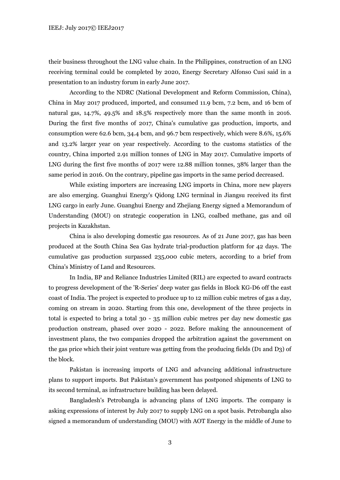their business throughout the LNG value chain. In the Philippines, construction of an LNG receiving terminal could be completed by 2020, Energy Secretary Alfonso Cusi said in a presentation to an industry forum in early June 2017.

According to the NDRC (National Development and Reform Commission, China), China in May 2017 produced, imported, and consumed 11.9 bcm, 7.2 bcm, and 16 bcm of natural gas, 14.7%, 49.5% and 18.5% respectively more than the same month in 2016. During the first five months of 2017, China's cumulative gas production, imports, and consumption were 62.6 bcm, 34.4 bcm, and 96.7 bcm respectively, which were 8.6%, 15.6% and 13.2% larger year on year respectively. According to the customs statistics of the country, China imported 2.91 million tonnes of LNG in May 2017. Cumulative imports of LNG during the first five months of 2017 were 12.88 million tonnes, 38% larger than the same period in 2016. On the contrary, pipeline gas imports in the same period decreased.

While existing importers are increasing LNG imports in China, more new players are also emerging. Guanghui Energy's Qidong LNG terminal in Jiangsu received its first LNG cargo in early June. Guanghui Energy and Zhejiang Energy signed a Memorandum of Understanding (MOU) on strategic cooperation in LNG, coalbed methane, gas and oil projects in Kazakhstan.

China is also developing domestic gas resources. As of 21 June 2017, gas has been produced at the South China Sea Gas hydrate trial-production platform for 42 days. The cumulative gas production surpassed 235,000 cubic meters, according to a brief from China's Ministry of Land and Resources.

In India, BP and Reliance Industries Limited (RIL) are expected to award contracts to progress development of the 'R-Series' deep water gas fields in Block KG-D6 off the east coast of India. The project is expected to produce up to 12 million cubic metres of gas a day, coming on stream in 2020. Starting from this one, development of the three projects in total is expected to bring a total 30 - 35 million cubic metres per day new domestic gas production onstream, phased over 2020 - 2022. Before making the announcement of investment plans, the two companies dropped the arbitration against the government on the gas price which their joint venture was getting from the producing fields (D1 and D3) of the block.

Pakistan is increasing imports of LNG and advancing additional infrastructure plans to support imports. But Pakistan's government has postponed shipments of LNG to its second terminal, as infrastructure building has been delayed.

Bangladesh's Petrobangla is advancing plans of LNG imports. The company is asking expressions of interest by July 2017 to supply LNG on a spot basis. Petrobangla also signed a memorandum of understanding (MOU) with AOT Energy in the middle of June to

3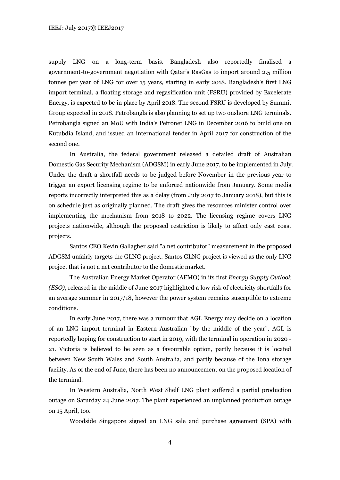supply LNG on a long-term basis. Bangladesh also reportedly finalised a government-to-government negotiation with Qatar's RasGas to import around 2.5 million tonnes per year of LNG for over 15 years, starting in early 2018. Bangladesh's first LNG import terminal, a floating storage and regasification unit (FSRU) provided by Excelerate Energy, is expected to be in place by April 2018. The second FSRU is developed by Summit Group expected in 2018. Petrobangla is also planning to set up two onshore LNG terminals. Petrobangla signed an MoU with India's Petronet LNG in December 2016 to build one on Kutubdia Island, and issued an international tender in April 2017 for construction of the second one.

In Australia, the federal government released a detailed draft of Australian Domestic Gas Security Mechanism (ADGSM) in early June 2017, to be implemented in July. Under the draft a shortfall needs to be judged before November in the previous year to trigger an export licensing regime to be enforced nationwide from January. Some media reports incorrectly interpreted this as a delay (from July 2017 to January 2018), but this is on schedule just as originally planned. The draft gives the resources minister control over implementing the mechanism from 2018 to 2022. The licensing regime covers LNG projects nationwide, although the proposed restriction is likely to affect only east coast projects.

Santos CEO Kevin Gallagher said "a net contributor" measurement in the proposed ADGSM unfairly targets the GLNG project. Santos GLNG project is viewed as the only LNG project that is not a net contributor to the domestic market.

The Australian Energy Market Operator (AEMO) in its first *Energy Supply Outlook (ESO)*, released in the middle of June 2017 highlighted a low risk of electricity shortfalls for an average summer in 2017/18, however the power system remains susceptible to extreme conditions.

In early June 2017, there was a rumour that AGL Energy may decide on a location of an LNG import terminal in Eastern Australian "by the middle of the year". AGL is reportedly hoping for construction to start in 2019, with the terminal in operation in 2020 - 21. Victoria is believed to be seen as a favourable option, partly because it is located between New South Wales and South Australia, and partly because of the Iona storage facility. As of the end of June, there has been no announcement on the proposed location of the terminal.

In Western Australia, North West Shelf LNG plant suffered a partial production outage on Saturday 24 June 2017. The plant experienced an unplanned production outage on 15 April, too.

Woodside Singapore signed an LNG sale and purchase agreement (SPA) with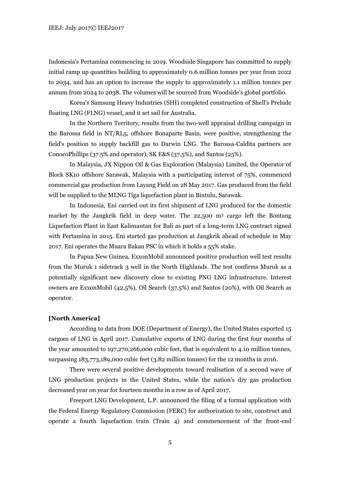Indonesia's Pertamina commencing in 2019. Woodside Singapore has committed to supply initial ramp up quantities building to approximately 0.6 million tonnes per year from 2022 to 2034, and has an option to increase the supply to approximately 1.1 million tonnes per annum from 2024 to 2038. The volumes will be sourced from Woodside's global portfolio.

Korea's Samsung Heavy Industries (SHI) completed construction of Shell's Prelude floating LNG (FLNG) vessel, and it set sail for Australia.

In the Northern Territory, results from the two-well appraisal drilling campaign in the Barossa field in NT/RL5, offshore Bonaparte Basin, were positive, strengthening the field's position to supply backfill gas to Darwin LNG. The Barossa-Caldita partners are ConocoPhillips (37.5% and operator), SK E&S (37.5%), and Santos (25%).

In Malaysia, JX Nippon Oil & Gas Exploration (Malaysia) Limited, the Operator of Block SK10 offshore Sarawak, Malaysia with a participating interest of 75%, commenced commercial gas production from Layang Field on 28 May 2017. Gas produced from the field will be supplied to the MLNG Tiga liquefaction plant in Bintulu, Sarawak.

In Indonesia, Eni carried out its first shipment of LNG produced for the domestic market by the Jangkrik field in deep water. The 22,500 m<sup>3</sup> cargo left the Bontang Liquefaction Plant in East Kalimantan for Bali as part of a long-term LNG contract signed with Pertamina in 2015. Eni started gas production at Jangkrik ahead of schedule in May 2017. Eni operates the Muara Bakau PSC in which it holds a 55% stake.

In Papua New Guinea, ExxonMobil announced positive production well test results from the Muruk 1 sidetrack 3 well in the North Highlands. The test confirms Muruk as a potentially significant new discovery close to existing PNG LNG infrastructure. Interest owners are ExxonMobil (42.5%), Oil Search (37.5%) and Santos (20%), with Oil Search as operator.

#### **[North America]**

According to data from DOE (Department of Energy), the United States exported 15 cargoes of LNG in April 2017. Cumulative exports of LNG during the first four months of the year amounted to 197,270,266,000 cubic feet, that is equivalent to 4.10 million tonnes, surpassing 183,773,189,000 cubic feet (3.82 million tonnes) for the 12 months in 2016.

There were several positive developments toward realisation of a second wave of LNG production projects in the United States, while the nation's dry gas production decreased year on year for fourteen months in a row as of April 2017.

Freeport LNG Development, L.P. announced the filing of a formal application with the Federal Energy Regulatory Commission (FERC) for authorization to site, construct and operate a fourth liquefaction train (Train 4) and commencement of the front-end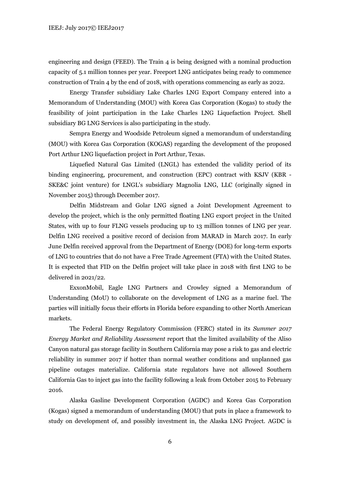engineering and design (FEED). The Train 4 is being designed with a nominal production capacity of 5.1 million tonnes per year. Freeport LNG anticipates being ready to commence construction of Train 4 by the end of 2018, with operations commencing as early as 2022.

Energy Transfer subsidiary Lake Charles LNG Export Company entered into a Memorandum of Understanding (MOU) with Korea Gas Corporation (Kogas) to study the feasibility of joint participation in the Lake Charles LNG Liquefaction Project. Shell subsidiary BG LNG Services is also participating in the study.

Sempra Energy and Woodside Petroleum signed a memorandum of understanding (MOU) with Korea Gas Corporation (KOGAS) regarding the development of the proposed Port Arthur LNG liquefaction project in Port Arthur, Texas.

Liquefied Natural Gas Limited (LNGL) has extended the validity period of its binding engineering, procurement, and construction (EPC) contract with KSJV (KBR - SKE&C joint venture) for LNGL's subsidiary Magnolia LNG, LLC (originally signed in November 2015) through December 2017.

Delfin Midstream and Golar LNG signed a Joint Development Agreement to develop the project, which is the only permitted floating LNG export project in the United States, with up to four FLNG vessels producing up to 13 million tonnes of LNG per year. Delfin LNG received a positive record of decision from MARAD in March 2017. In early June Delfin received approval from the Department of Energy (DOE) for long-term exports of LNG to countries that do not have a Free Trade Agreement (FTA) with the United States. It is expected that FID on the Delfin project will take place in 2018 with first LNG to be delivered in 2021/22.

ExxonMobil, Eagle LNG Partners and Crowley signed a Memorandum of Understanding (MoU) to collaborate on the development of LNG as a marine fuel. The parties will initially focus their efforts in Florida before expanding to other North American markets.

The Federal Energy Regulatory Commission (FERC) stated in its *Summer 2017 Energy Market and Reliability Assessment* report that the limited availability of the Aliso Canyon natural gas storage facility in Southern California may pose a risk to gas and electric reliability in summer 2017 if hotter than normal weather conditions and unplanned gas pipeline outages materialize. California state regulators have not allowed Southern California Gas to inject gas into the facility following a leak from October 2015 to February 2016.

Alaska Gasline Development Corporation (AGDC) and Korea Gas Corporation (Kogas) signed a memorandum of understanding (MOU) that puts in place a framework to study on development of, and possibly investment in, the Alaska LNG Project. AGDC is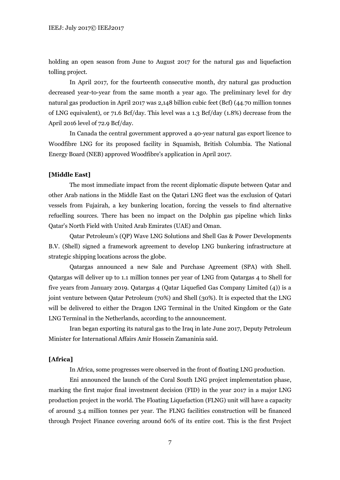holding an open season from June to August 2017 for the natural gas and liquefaction tolling project.

In April 2017, for the fourteenth consecutive month, dry natural gas production decreased year-to-year from the same month a year ago. The preliminary level for dry natural gas production in April 2017 was 2,148 billion cubic feet (Bcf) (44.70 million tonnes of LNG equivalent), or 71.6 Bcf/day. This level was a 1.3 Bcf/day (1.8%) decrease from the April 2016 level of 72.9 Bcf/day.

In Canada the central government approved a 40-year natural gas export licence to Woodfibre LNG for its proposed facility in Squamish, British Columbia. The National Energy Board (NEB) approved Woodfibre's application in April 2017.

#### **[Middle East]**

The most immediate impact from the recent diplomatic dispute between Qatar and other Arab nations in the Middle East on the Qatari LNG fleet was the exclusion of Qatari vessels from Fujairah, a key bunkering location, forcing the vessels to find alternative refuelling sources. There has been no impact on the Dolphin gas pipeline which links Qatar's North Field with United Arab Emirates (UAE) and Oman.

Qatar Petroleum's (QP) Wave LNG Solutions and Shell Gas & Power Developments B.V. (Shell) signed a framework agreement to develop LNG bunkering infrastructure at strategic shipping locations across the globe.

Qatargas announced a new Sale and Purchase Agreement (SPA) with Shell. Qatargas will deliver up to 1.1 million tonnes per year of LNG from Qatargas 4 to Shell for five years from January 2019. Qatargas 4 (Qatar Liquefied Gas Company Limited (4)) is a joint venture between Qatar Petroleum (70%) and Shell (30%). It is expected that the LNG will be delivered to either the Dragon LNG Terminal in the United Kingdom or the Gate LNG Terminal in the Netherlands, according to the announcement.

Iran began exporting its natural gas to the Iraq in late June 2017, Deputy Petroleum Minister for International Affairs Amir Hossein Zamaninia said.

### **[Africa]**

In Africa, some progresses were observed in the front of floating LNG production.

Eni announced the launch of the Coral South LNG project implementation phase, marking the first major final investment decision (FID) in the year 2017 in a major LNG production project in the world. The Floating Liquefaction (FLNG) unit will have a capacity of around 3.4 million tonnes per year. The FLNG facilities construction will be financed through Project Finance covering around 60% of its entire cost. This is the first Project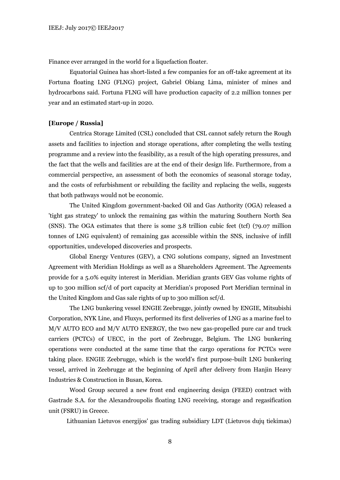Finance ever arranged in the world for a liquefaction floater.

Equatorial Guinea has short-listed a few companies for an off-take agreement at its Fortuna floating LNG (FLNG) project, Gabriel Obiang Lima, minister of mines and hydrocarbons said. Fortuna FLNG will have production capacity of 2.2 million tonnes per year and an estimated start-up in 2020.

#### **[Europe / Russia]**

Centrica Storage Limited (CSL) concluded that CSL cannot safely return the Rough assets and facilities to injection and storage operations, after completing the wells testing programme and a review into the feasibility, as a result of the high operating pressures, and the fact that the wells and facilities are at the end of their design life. Furthermore, from a commercial perspective, an assessment of both the economics of seasonal storage today, and the costs of refurbishment or rebuilding the facility and replacing the wells, suggests that both pathways would not be economic.

The United Kingdom government-backed Oil and Gas Authority (OGA) released a 'tight gas strategy' to unlock the remaining gas within the maturing Southern North Sea (SNS). The OGA estimates that there is some 3.8 trillion cubic feet (tcf) (79.07 million tonnes of LNG equivalent) of remaining gas accessible within the SNS, inclusive of infill opportunities, undeveloped discoveries and prospects.

Global Energy Ventures (GEV), a CNG solutions company, signed an Investment Agreement with Meridian Holdings as well as a Shareholders Agreement. The Agreements provide for a 5.0% equity interest in Meridian. Meridian grants GEV Gas volume rights of up to 300 million scf/d of port capacity at Meridian's proposed Port Meridian terminal in the United Kingdom and Gas sale rights of up to 300 million scf/d.

The LNG bunkering vessel ENGIE Zeebrugge, jointly owned by ENGIE, Mitsubishi Corporation, NYK Line, and Fluxys, performed its first deliveries of LNG as a marine fuel to M/V AUTO ECO and M/V AUTO ENERGY, the two new gas-propelled pure car and truck carriers (PCTCs) of UECC, in the port of Zeebrugge, Belgium. The LNG bunkering operations were conducted at the same time that the cargo operations for PCTCs were taking place. ENGIE Zeebrugge, which is the world's first purpose-built LNG bunkering vessel, arrived in Zeebrugge at the beginning of April after delivery from Hanjin Heavy Industries & Construction in Busan, Korea.

Wood Group secured a new front end engineering design (FEED) contract with Gastrade S.A. for the Alexandroupolis floating LNG receiving, storage and regasification unit (FSRU) in Greece.

Lithuanian Lietuvos energijos' gas trading subsidiary LDT (Lietuvos dujų tiekimas)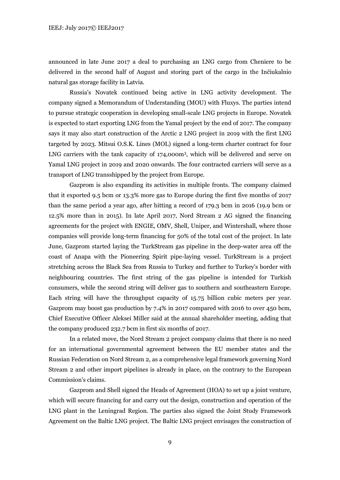announced in late June 2017 a deal to purchasing an LNG cargo from Cheniere to be delivered in the second half of August and storing part of the cargo in the Inčiukalnio natural gas storage facility in Latvia.

Russia's Novatek continued being active in LNG activity development. The company signed a Memorandum of Understanding (MOU) with Fluxys. The parties intend to pursue strategic cooperation in developing small-scale LNG projects in Europe. Novatek is expected to start exporting LNG from the Yamal project by the end of 2017. The company says it may also start construction of the Arctic 2 LNG project in 2019 with the first LNG targeted by 2023. Mitsui O.S.K. Lines (MOL) signed a long-term charter contract for four LNG carriers with the tank capacity of 174,000m<sup>3</sup>, which will be delivered and serve on Yamal LNG project in 2019 and 2020 onwards. The four contracted carriers will serve as a transport of LNG transshipped by the project from Europe.

Gazprom is also expanding its activities in multiple fronts. The company claimed that it exported 9.5 bcm or 13.3% more gas to Europe during the first five months of 2017 than the same period a year ago, after hitting a record of 179.3 bcm in 2016 (19.9 bcm or 12.5% more than in 2015). In late April 2017, Nord Stream 2 AG signed the financing agreements for the project with ENGIE, OMV, Shell, Uniper, and Wintershall, where those companies will provide long-term financing for 50% of the total cost of the project. In late June, Gazprom started laying the TurkStream gas pipeline in the deep-water area off the coast of Anapa with the Pioneering Spirit pipe-laying vessel. TurkStream is a project stretching across the Black Sea from Russia to Turkey and further to Turkey's border with neighbouring countries. The first string of the gas pipeline is intended for Turkish consumers, while the second string will deliver gas to southern and southeastern Europe. Each string will have the throughput capacity of 15.75 billion cubic meters per year. Gazprom may boost gas production by 7.4% in 2017 compared with 2016 to over 450 bcm, Chief Executive Officer Aleksei Miller said at the annual shareholder meeting, adding that the company produced 232.7 bcm in first six months of 2017.

In a related move, the Nord Stream 2 project company claims that there is no need for an international governmental agreement between the EU member states and the Russian Federation on Nord Stream 2, as a comprehensive legal framework governing Nord Stream 2 and other import pipelines is already in place, on the contrary to the European Commission's claims.

Gazprom and Shell signed the Heads of Agreement (HOA) to set up a joint venture, which will secure financing for and carry out the design, construction and operation of the LNG plant in the Leningrad Region. The parties also signed the Joint Study Framework Agreement on the Baltic LNG project. The Baltic LNG project envisages the construction of